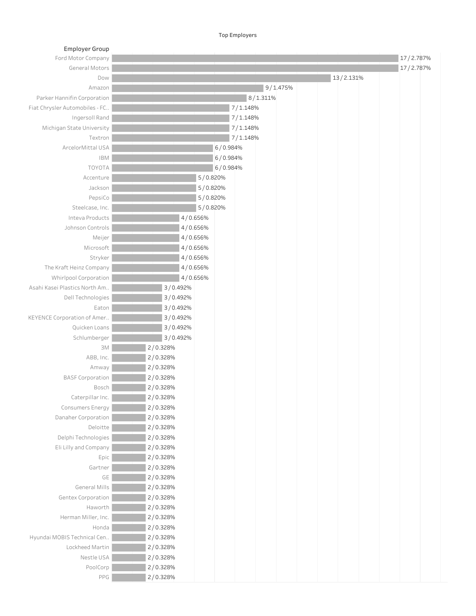**Top Employers** 

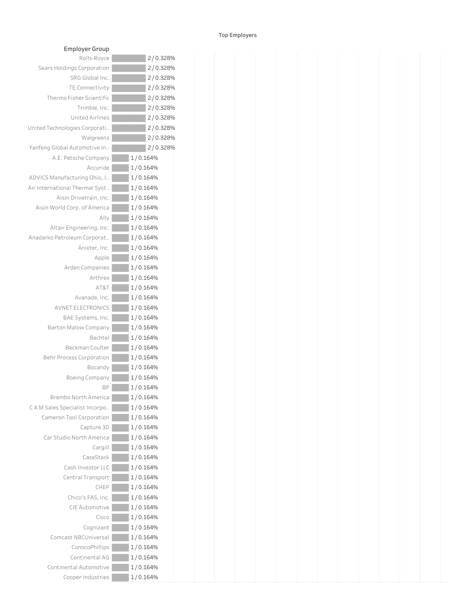## **Top Employers**

| <b>Employer Group</b>          |          |
|--------------------------------|----------|
| Rolls-Royce                    | 2/0.328% |
| Sears Holdings Corporation     | 2/0.328% |
| SRG Global Inc.                | 2/0.328% |
| <b>TE Connectivity</b>         | 2/0.328% |
| Thermo Fisher Scientific       | 2/0.328% |
| Trimble, Inc.                  | 2/0.328% |
| <b>United Airlines</b>         | 2/0.328% |
| United Technologies Corporati  | 2/0.328% |
| Walgreens                      | 2/0.328% |
| Yanfeng Global Automotive In   | 2/0.328% |
| A.E. Petsche Company           | 1/0.164% |
| Accuride                       | 1/0.164% |
| ADVICS Manufacturing Ohio, I   | 1/0.164% |
| Air International Thermal Syst | 1/0.164% |
| Aisin Drivetrain, Inc.         | 1/0.164% |
| Aisin World Corp. of America   | 1/0.164% |
| Ally                           | 1/0.164% |
| Altair Engineering, Inc.       | 1/0.164% |
| Anadarko Petroleum Corporat    | 1/0.164% |
| Anixter, Inc.                  | 1/0.164% |
| Apple                          | 1/0.164% |
| Arden Companies                | 1/0.164% |
| Arthrex                        | 1/0.164% |
| AT&T                           | 1/0.164% |
| Avanade, Inc.                  | 1/0.164% |
| <b>AVNET ELECTRONICS</b>       | 1/0.164% |
| BAE Systems, Inc.              | 1/0.164% |
| Barton Malow Company           | 1/0.164% |
| Bechtel                        | 1/0.164% |
| Beckman Coulter                | 1/0.164% |
| Behr Process Corporation       | 1/0.164% |
| Bocandy                        | 1/0.164% |
| Boeing Company                 | 1/0.164% |
| <b>BP</b>                      | 1/0.164% |
| Brembo North America           | 1/0.164% |
| CAM Sales Specialist Incorpo   | 1/0.164% |
| Cameron Tool Corporation       | 1/0.164% |
| Capture 3D                     | 1/0.164% |
| Car Studio North America       | 1/0.164% |
| Cargill                        | 1/0.164% |
| CaseStack                      | 1/0.164% |
| Cash Investor LLC              | 1/0.164% |
| Central Transport              | 1/0.164% |
| CHEP                           | 1/0.164% |
| Chico's FAS, Inc.              | 1/0.164% |
| CIE Automotive                 | 1/0.164% |
| Cisco                          | 1/0.164% |
| Cognizant                      | 1/0.164% |
| Comcast NBCUniversal           | 1/0.164% |
| ConocoPhillips                 | 1/0.164% |
| Continental AG                 | 1/0.164% |
| Continental Automotive         | 1/0.164% |
| Cooper Industries              | 1/0.164% |

| iis-Royce   | $2/0.328\%$ |
|-------------|-------------|
| poration    | 2/0.328%    |
| lobal Inc.  | 2/0.328%    |
| nectivity   | 2/0.328%    |
| Scientific  | 2/0.328%    |
| nble, Inc.  | 2/0.328%    |
| d Airlines  | 2/0.328%    |
| orporati    | 2/0.328%    |
| algreens    | 2/0.328%    |
| otive In    | 2/0.328%    |
| Company     | 1/0.164%    |
| Accuride    | 1/0.164%    |
| g Ohio, I   | 1/0.164%    |
| nal Syst    | 1/0.164%    |
| rain, Inc.  | 1/0.164%    |
| f America   | 1/0.164%    |
| Ally        | 1/0.164%    |
| ring, Inc.  | 1/0.164%    |
| orporat     | 1/0.164%    |
| ixter, Inc. | 1/0.164%    |
| Apple       | 1/0.164%    |
| ompanies    | 1/0.164%    |
| Arthrex     | 1/0.164%    |
| AT&T        | 1/0.164%    |
| nade, Inc.  | 1/0.164%    |
| TRONICS     | 1/0.164%    |
| ems, Inc.   | 1/0.164%    |
| Company     | 1/0.164%    |
| Bechtel     | 1/0.164%    |
| n Coulter   | 1/0.164%    |
| poration    | 1/0.164%    |
| Bocandy     | 1/0.164%    |
| Company     | 1/0.164%    |
| BP          | 1/0.164%    |
| a America   | 1/0.164%    |
| Incorpo     | 1/0.164%    |
| poration    | 1/0.164%    |
| pture 3D    | 1/0.164%    |
| America     | 1/0.164%    |
| Cargill     | 1/0.164%    |
| aseStack    | 1/0.164%    |
| estor LLC   | 1/0.164%    |
| ransport    | 1/0.164%    |
| CHEP        | 1/0.164%    |
| FAS, Inc.   | 1/0.164%    |
| tomotive    | 1/0.164%    |
| Cisco       | 1/0.164%    |
| iognizant   | 1/0.164%    |
| Jniversal   | 1/0.164%    |
| coPhillips  | 1/0.164%    |
| ental AG    | 1/0.164%    |
| tomotive    | 1/0.164%    |
| ndustries   | 1/0.164%    |
|             |             |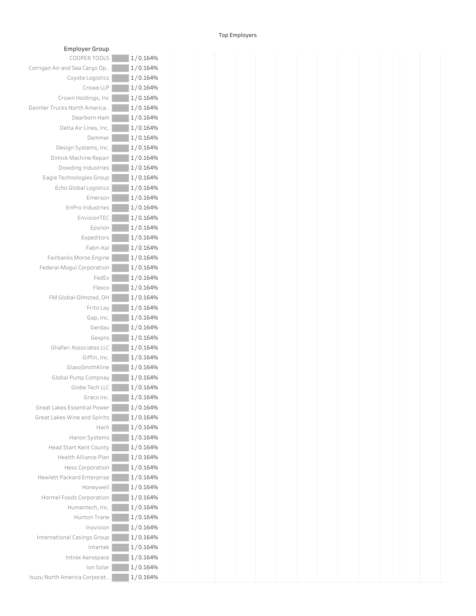## T o p E m plo y e r s

| Employer Group                |          |
|-------------------------------|----------|
| COOPER TOOLS                  | 1/0.164% |
| Corrigan Air and Sea Cargo Op | 1/0.164% |
| Coyote Logistics              | 1/0.164% |
| Crowe LLP                     | 1/0.164% |
| Crown Holdings, Inc.          | 1/0.164% |
| Daimler Trucks North America  | 1/0.164% |
| Dearborn Ham                  | 1/0.164% |
| Delta Air Lines, Inc.         | 1/0.164% |
| Demmer                        | 1/0.164% |
| Design Systems, Inc.          | 1/0.164% |
| Dimick Machine Repair         | 1/0.164% |
| Dowding Industries            | 1/0.164% |
| Eagle Technologies Group      | 1/0.164% |
| Echo Global Logistics         | 1/0.164% |
| Emerson                       | 1/0.164% |
| EnPro Industries              | 1/0.164% |
| EnvisionTEC                   | 1/0.164% |
| Epsilon                       | 1/0.164% |
| Expeditors                    | 1/0.164% |
| Fabri-Kal                     | 1/0.164% |
| Fairbanks Morse Engine        | 1/0.164% |
| Federal-Mogul Corporation     | 1/0.164% |
| FedEx                         | 1/0.164% |
| Flexco                        | 1/0.164% |
| FM Global-Olmsted, OH         | 1/0.164% |
| Frito Lay                     | 1/0.164% |
| Gap, Inc.                     | 1/0.164% |
| Gerdau                        | 1/0.164% |
| Gexpro                        | 1/0.164% |
| Ghafari Associates LLC        | 1/0.164% |
| Giffin, Inc.                  | 1/0.164% |
| GlaxoSmithKline               | 1/0.164% |
| Global Pump Compnay           | 1/0.164% |
| Globe Tech LLC                | 1/0.164% |
| Graco Inc.                    | 1/0.164% |
| Great Lakes Essential Power   | 1/0.164% |
| Great Lakes Wine and Spirits  | 1/0.164% |
| Hach                          | 1/0.164% |
| Hanon Systems                 | 1/0.164% |
| Head Start Kent County        | 1/0.164% |
| <b>Health Alliance Plan</b>   | 1/0.164% |
| <b>Hess Corporation</b>       | 1/0.164% |
| Hewlett Packard Enterprise    | 1/0.164% |
| Honeywell                     | 1/0.164% |
| Hormel Foods Corporation      | 1/0.164% |
| Humantech, Inc.               | 1/0.164% |
| Hunton Trane                  | 1/0.164% |
| Inovision                     | 1/0.164% |
| International Casings Group   | 1/0.164% |
| Intertek                      | 1/0.164% |
| Intrex Aerospace              | 1/0.164% |
| Ion Solar                     | 1/0.164% |
| Isuzu North America Corporat  | 1/0.164% |

| COOPER TOOLS            | 1/0.164%  |  |  |  |  |
|-------------------------|-----------|--|--|--|--|
| d Sea Cargo Op          | 1/0.164%  |  |  |  |  |
| Coyote Logistics        | 1/0.164%  |  |  |  |  |
| Crowe LLP               | 1/0.164%  |  |  |  |  |
| wn Holdings, Inc        | 1/0.164%  |  |  |  |  |
| North America           | 1/0.164%  |  |  |  |  |
| Dearborn Ham            | 1/0.164%  |  |  |  |  |
| Ita Air Lines, Inc.     | 1/0.164%  |  |  |  |  |
| Demmer                  | 1/0.164%  |  |  |  |  |
| gn Systems, Inc.        | 1/0.164%  |  |  |  |  |
| Machine Repair          | 1/0.164%  |  |  |  |  |
| vding Industries        | 1/0.164%  |  |  |  |  |
| hnologies Group         | 1/0.164%  |  |  |  |  |
| Global Logistics        | 1/0.164%  |  |  |  |  |
| Emerson                 | 1/0.164%  |  |  |  |  |
| <b>EnPro Industries</b> | 1/0.164%  |  |  |  |  |
| EnvisionTEC             |           |  |  |  |  |
|                         | 1/0.164%  |  |  |  |  |
| Epsilon                 | 1/0.164%  |  |  |  |  |
| Expeditors              | 1/0.164%  |  |  |  |  |
| Fabri-Kal               | 1/0.164%  |  |  |  |  |
| ks Morse Engine         | 1/0.164%  |  |  |  |  |
| ogul Corporation        | 1/0.164%  |  |  |  |  |
| FedEx                   | 1/0.164%  |  |  |  |  |
| Flexco                  | 1/0.164%  |  |  |  |  |
| bal-Olmsted, OH         | 1/0.164%  |  |  |  |  |
| Frito Lay               | 1/0.164%  |  |  |  |  |
| Gap, Inc.               | 1/0.164%  |  |  |  |  |
| Gerdau                  | 1/0.164%  |  |  |  |  |
| Gexpro                  | 1/0.164%  |  |  |  |  |
| i Associates LLC        | 1/0.164%  |  |  |  |  |
| Giffin, Inc.            | 1/0.164%  |  |  |  |  |
| GlaxoSmithKline         | 1/0.164%  |  |  |  |  |
| Pump Compnay            | 1/0.164%  |  |  |  |  |
| Globe Tech LLC          | 1/0.164%  |  |  |  |  |
| Graco Inc.              | 1/0.164%  |  |  |  |  |
| <b>Essential Power</b>  | 1/0.164%  |  |  |  |  |
| Wine and Spirits        | 1/0.164%  |  |  |  |  |
| Hach                    | 1/0.164%  |  |  |  |  |
| Hanon Systems           | 1/0.164%  |  |  |  |  |
| tart Kent County        | 1/0.164%  |  |  |  |  |
| Ith Alliance Plan       | 1/0.164%  |  |  |  |  |
| less Corporation        | 1/0.164%  |  |  |  |  |
| ckard Enterprise        | 1/0.164%  |  |  |  |  |
| Honeywell               | 1/0.164%  |  |  |  |  |
| ods Corporation         | 1/0.164%  |  |  |  |  |
| Humantech, Inc.         | 1/0.164%  |  |  |  |  |
| Hunton Trane            | 1/0.164%  |  |  |  |  |
| Inovision               | 1/0.164%  |  |  |  |  |
| al Casings Group        | 1/0.164%  |  |  |  |  |
| Intertek                | 1/0.164%  |  |  |  |  |
| ntrex Aerospace         | 1/0.164%  |  |  |  |  |
| Ion Solar               | 1/0.164%  |  |  |  |  |
|                         | 1/0.16104 |  |  |  |  |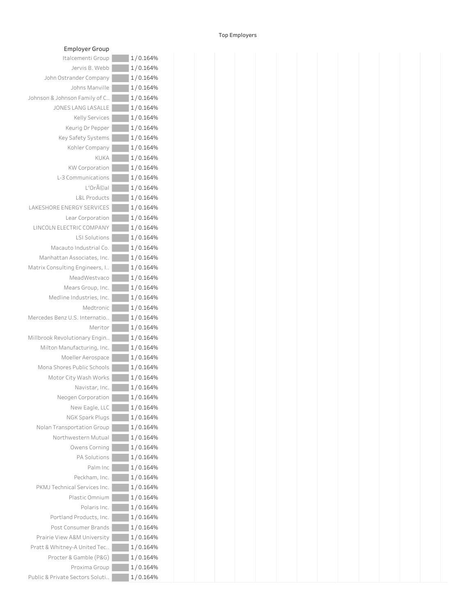## T o p E m plo y e r s

| Employer Group                  |          |
|---------------------------------|----------|
| Italcementi Group               | 1/0.164% |
| Jervis B. Webb                  | 1/0.164% |
| John Ostrander Company          | 1/0.164% |
| Johns Manville                  | 1/0.164% |
| Johnson & Johnson Family of C   | 1/0.164% |
| <b>JONES LANG LASALLE</b>       | 1/0.164% |
| <b>Kelly Services</b>           | 1/0.164% |
| Keurig Dr Pepper                | 1/0.164% |
| Key Safety Systems              | 1/0.164% |
| Kohler Company                  | 1/0.164% |
| KUKA                            | 1/0.164% |
| <b>KW Corporation</b>           | 1/0.164% |
| L-3 Communications              | 1/0.164% |
| $L'$ Or $\tilde{A}$ ©al         | 1/0.164% |
| <b>L&amp;L Products</b>         | 1/0.164% |
| LAKESHORE ENERGY SERVICES       | 1/0.164% |
| Lear Corporation                | 1/0.164% |
| LINCOLN ELECTRIC COMPANY        | 1/0.164% |
| <b>LSI Solutions</b>            | 1/0.164% |
| Macauto Industrial Co.          | 1/0.164% |
| Manhattan Associates, Inc.      | 1/0.164% |
| Matrix Consulting Engineers, I  | 1/0.164% |
| MeadWestvaco                    | 1/0.164% |
| Mears Group, Inc.               | 1/0.164% |
| Medline Industries, Inc.        | 1/0.164% |
| Medtronic                       | 1/0.164% |
| Mercedes Benz U.S. Internatio   | 1/0.164% |
| Meritor                         | 1/0.164% |
| Millbrook Revolutionary Engin   | 1/0.164% |
| Milton Manufacturing, Inc.      | 1/0.164% |
| Moeller Aerospace               | 1/0.164% |
| Mona Shores Public Schools      | 1/0.164% |
| Motor City Wash Works           | 1/0.164% |
| Navistar, Inc.                  | 1/0.164% |
| Neogen Corporation              | 1/0.164% |
| New Eagle, LLC                  | 1/0.164% |
| <b>NGK Spark Plugs</b>          | 1/0.164% |
| Nolan Transportation Group      | 1/0.164% |
| Northwestern Mutual             | 1/0.164% |
| Owens Corning                   | 1/0.164% |
| <b>PA Solutions</b>             | 1/0.164% |
| Palm Inc                        | 1/0.164% |
| Peckham, Inc.                   | 1/0.164% |
| PKMJ Technical Services Inc.    | 1/0.164% |
| Plastic Omnium                  | 1/0.164% |
| Polaris Inc.                    | 1/0.164% |
| Portland Products, Inc.         | 1/0.164% |
| Post Consumer Brands            | 1/0.164% |
| Prairie View A&M University     | 1/0.164% |
| Pratt & Whitney-A United Tec    | 1/0.164% |
| Procter & Gamble (P&G)          | 1/0.164% |
| Proxima Group                   | 1/0.164% |
| Public & Private Sectors Soluti | 1/0.164% |

| roup              | 1/0.164% |
|-------------------|----------|
| Vebb              | 1/0.164% |
| pany              | 1/0.164% |
| nville            | 1/0.164% |
| of C              | 1/0.164% |
| ALLE              | 1/0.164% |
| vices             | 1/0.164% |
| pper              | 1/0.164% |
| tems              | 1/0.164% |
| pany              | 1/0.164% |
| <b>KUKA</b>       | 1/0.164% |
| ation             | 1/0.164% |
| tions             | 1/0.164% |
| éal               | 1/0.164% |
| ducts             | 1/0.164% |
| <b>ICES</b>       | 1/0.164% |
| ation             | 1/0.164% |
| ANY               | 1/0.164% |
| tions             | 1/0.164% |
| al Co.            | 1/0.164% |
| , Inc.            | 1/0.164% |
| rs, I             | 1/0.164% |
| vaco:             | 1/0.164% |
| , Inc.            | 1/0.164% |
| , Inc.            | 1/0.164% |
| ronic             | 1/0.164% |
| atio              | 1/0.164% |
| ritor             | 1/0.164% |
| ngin              | 1/0.164% |
| , Inc.            | 1/0.164% |
| pace              | 1/0.164% |
| hools             | 1/0.164% |
| /orks             | 1/0.164% |
| , Inc.            | 1/0.164% |
| ation             | 1/0.164% |
| e, LLC            | 1/0.164% |
| <sup>o</sup> lugs | 1/0.164% |
| roup              | 1/0.164% |
| utual             | 1/0.164% |
| ming              | 1/0.164% |
| tions             | 1/0.164% |
| m Inc             | 1/0.164% |
| , Inc.            | 1/0.164% |
| s Inc.            | 1/0.164% |
| nium              | 1/0.164% |
| s Inc.            | 1/0.164% |
| , Inc.            | 1/0.164% |
| ands              | 1/0.164% |
| rsity             | 1/0.164% |
| Tec               | 1/0.164% |
| P&G)              | 1/0.164% |
| roup              | 1/0.164% |
| luti              | 1/0.164% |